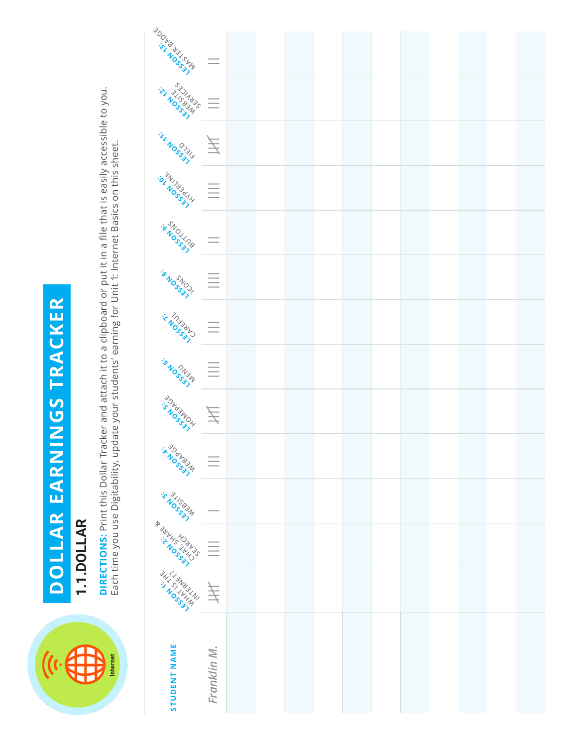